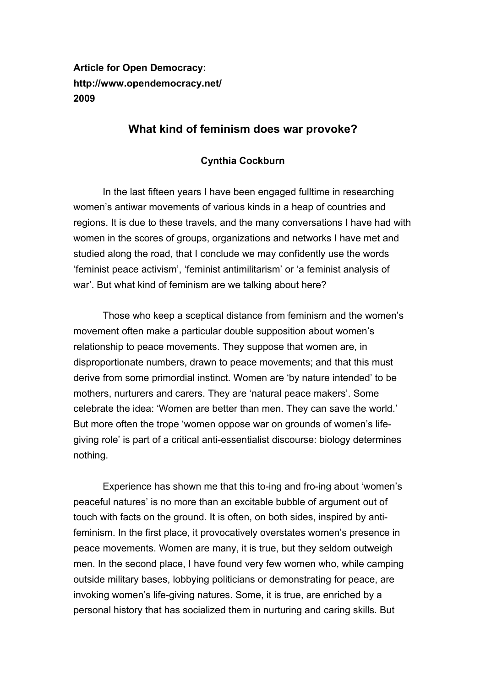## **Article for Open Democracy: http://www.opendemocracy.net/ 2009**

## **What kind of feminism does war provoke?**

## **Cynthia Cockburn**

In the last fifteen years I have been engaged fulltime in researching women's antiwar movements of various kinds in a heap of countries and regions. It is due to these travels, and the many conversations I have had with women in the scores of groups, organizations and networks I have met and studied along the road, that I conclude we may confidently use the words 'feminist peace activism', 'feminist antimilitarism' or 'a feminist analysis of war'. But what kind of feminism are we talking about here?

Those who keep a sceptical distance from feminism and the women's movement often make a particular double supposition about women's relationship to peace movements. They suppose that women are, in disproportionate numbers, drawn to peace movements; and that this must derive from some primordial instinct. Women are 'by nature intended' to be mothers, nurturers and carers. They are 'natural peace makers'. Some celebrate the idea: 'Women are better than men. They can save the world.' But more often the trope 'women oppose war on grounds of women's lifegiving role' is part of a critical anti-essentialist discourse: biology determines nothing.

Experience has shown me that this to-ing and fro-ing about 'women's peaceful natures' is no more than an excitable bubble of argument out of touch with facts on the ground. It is often, on both sides, inspired by antifeminism. In the first place, it provocatively overstates women's presence in peace movements. Women are many, it is true, but they seldom outweigh men. In the second place, I have found very few women who, while camping outside military bases, lobbying politicians or demonstrating for peace, are invoking women's life-giving natures. Some, it is true, are enriched by a personal history that has socialized them in nurturing and caring skills. But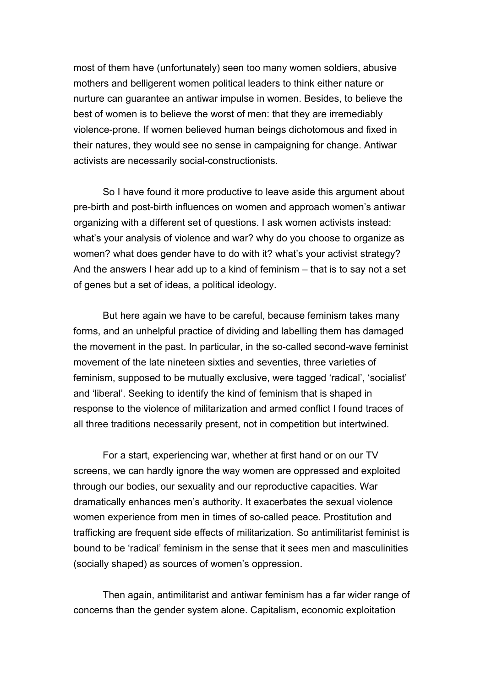most of them have (unfortunately) seen too many women soldiers, abusive mothers and belligerent women political leaders to think either nature or nurture can guarantee an antiwar impulse in women. Besides, to believe the best of women is to believe the worst of men: that they are irremediably violence-prone. If women believed human beings dichotomous and fixed in their natures, they would see no sense in campaigning for change. Antiwar activists are necessarily social-constructionists.

So I have found it more productive to leave aside this argument about pre-birth and post-birth influences on women and approach women's antiwar organizing with a different set of questions. I ask women activists instead: what's your analysis of violence and war? why do you choose to organize as women? what does gender have to do with it? what's your activist strategy? And the answers I hear add up to a kind of feminism – that is to say not a set of genes but a set of ideas, a political ideology.

But here again we have to be careful, because feminism takes many forms, and an unhelpful practice of dividing and labelling them has damaged the movement in the past. In particular, in the so-called second-wave feminist movement of the late nineteen sixties and seventies, three varieties of feminism, supposed to be mutually exclusive, were tagged 'radical', 'socialist' and 'liberal'. Seeking to identify the kind of feminism that is shaped in response to the violence of militarization and armed conflict I found traces of all three traditions necessarily present, not in competition but intertwined.

For a start, experiencing war, whether at first hand or on our TV screens, we can hardly ignore the way women are oppressed and exploited through our bodies, our sexuality and our reproductive capacities. War dramatically enhances men's authority. It exacerbates the sexual violence women experience from men in times of so-called peace. Prostitution and trafficking are frequent side effects of militarization. So antimilitarist feminist is bound to be 'radical' feminism in the sense that it sees men and masculinities (socially shaped) as sources of women's oppression.

Then again, antimilitarist and antiwar feminism has a far wider range of concerns than the gender system alone. Capitalism, economic exploitation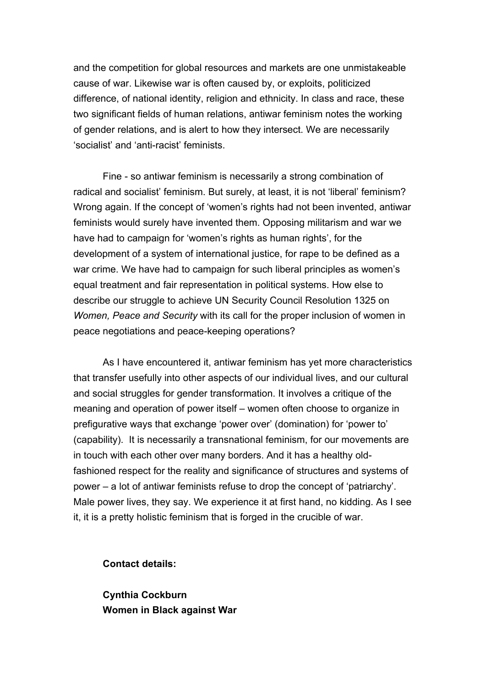and the competition for global resources and markets are one unmistakeable cause of war. Likewise war is often caused by, or exploits, politicized difference, of national identity, religion and ethnicity. In class and race, these two significant fields of human relations, antiwar feminism notes the working of gender relations, and is alert to how they intersect. We are necessarily 'socialist' and 'anti-racist' feminists.

Fine - so antiwar feminism is necessarily a strong combination of radical and socialist' feminism. But surely, at least, it is not 'liberal' feminism? Wrong again. If the concept of 'women's rights had not been invented, antiwar feminists would surely have invented them. Opposing militarism and war we have had to campaign for 'women's rights as human rights', for the development of a system of international justice, for rape to be defined as a war crime. We have had to campaign for such liberal principles as women's equal treatment and fair representation in political systems. How else to describe our struggle to achieve UN Security Council Resolution 1325 on *Women, Peace and Security* with its call for the proper inclusion of women in peace negotiations and peace-keeping operations?

As I have encountered it, antiwar feminism has yet more characteristics that transfer usefully into other aspects of our individual lives, and our cultural and social struggles for gender transformation. It involves a critique of the meaning and operation of power itself – women often choose to organize in prefigurative ways that exchange 'power over' (domination) for 'power to' (capability). It is necessarily a transnational feminism, for our movements are in touch with each other over many borders. And it has a healthy oldfashioned respect for the reality and significance of structures and systems of power – a lot of antiwar feminists refuse to drop the concept of 'patriarchy'. Male power lives, they say. We experience it at first hand, no kidding. As I see it, it is a pretty holistic feminism that is forged in the crucible of war.

**Contact details:** 

**Cynthia Cockburn Women in Black against War**